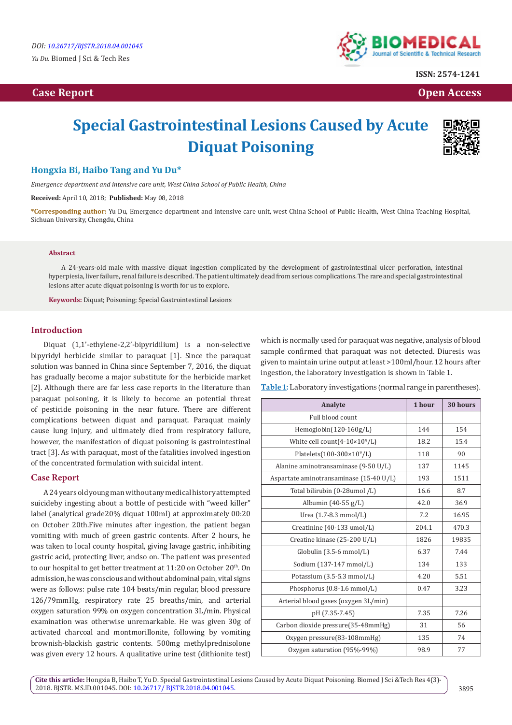

**ISSN: 2574-1241**

 **Case Report Open Access** 

# **Special Gastrointestinal Lesions Caused by Acute Diquat Poisoning**



## **Hongxia Bi, Haibo Tang and Yu Du\***

*Emergence department and intensive care unit, West China School of Public Health, China*

**Received:** April 10, 2018; **Published:** May 08, 2018

**\*Corresponding author:** Yu Du, Emergence department and intensive care unit, west China School of Public Health, West China Teaching Hospital, Sichuan University, Chengdu, China

#### **Abstract**

A 24-years-old male with massive diquat ingestion complicated by the development of gastrointestinal ulcer perforation, intestinal hyperpiesia, liver failure, renal failure is described. The patient ultimately dead from serious complications. The rare and special gastrointestinal lesions after acute diquat poisoning is worth for us to explore.

**Keywords:** Diquat; Poisoning; Special Gastrointestinal Lesions

#### **Introduction**

Diquat (1,1'-ethylene-2,2'-bipyridilium) is a non-selective bipyridyl herbicide similar to paraquat [1]. Since the paraquat solution was banned in China since September 7, 2016, the diquat has gradually become a major substitute for the herbicide market [2]. Although there are far less case reports in the literature than paraquat poisoning, it is likely to become an potential threat of pesticide poisoning in the near future. There are different complications between diquat and paraquat. Paraquat mainly cause lung injury, and ultimately died from respiratory failure, however, the manifestation of diquat poisoning is gastrointestinal tract [3]. As with paraquat, most of the fatalities involved ingestion of the concentrated formulation with suicidal intent.

#### **Case Report**

A 24 years old young man without any medical history attempted suicideby ingesting about a bottle of pesticide with "weed killer" label (analytical grade20% diquat 100ml) at approximately 00:20 on October 20th.Five minutes after ingestion, the patient began vomiting with much of green gastric contents. After 2 hours, he was taken to local county hospital, giving lavage gastric, inhibiting gastric acid, protecting liver, andso on. The patient was presented to our hospital to get better treatment at 11:20 on October 20<sup>th</sup>. On admission, he was conscious and without abdominal pain, vital signs were as follows: pulse rate 104 beats/min regular, blood pressure 126/79mmHg, respiratory rate 25 breaths/min, and arterial oxygen saturation 99% on oxygen concentration 3L/min. Physical examination was otherwise unremarkable. He was given 30g of activated charcoal and montmorillonite, following by vomiting brownish-blackish gastric contents. 500mg methylprednisolone was given every 12 hours. A qualitative urine test (dithionite test)

which is normally used for paraquat was negative, analysis of blood sample confirmed that paraquat was not detected. Diuresis was given to maintain urine output at least >100ml/hour. 12 hours after ingestion, the laboratory investigation is shown in Table 1.

**Table 1:** Laboratory investigations (normal range in parentheses).

| Analyte                                 | 1 hour | 30 hours |
|-----------------------------------------|--------|----------|
| Full blood count                        |        |          |
| $Hemoglobin(120-160g/L)$                | 144    | 154      |
| White cell count $(4-10\times10^9/L)$   | 18.2   | 15.4     |
| Platelets(100-300×10 <sup>9</sup> /L)   | 118    | 90       |
| Alanine aminotransaminase (9-50 U/L)    | 137    | 1145     |
| Aspartate aminotransaminase (15-40 U/L) | 193    | 1511     |
| Total bilirubin (0-28umol /L)           | 16.6   | 8.7      |
| Albumin (40-55 g/L)                     | 42.0   | 36.9     |
| Urea (1.7-8.3 mmol/L)                   | 7.2    | 16.95    |
| Creatinine (40-133 umol/L)              | 204.1  | 470.3    |
| Creatine kinase (25-200 U/L)            | 1826   | 19835    |
| Globulin $(3.5-6$ mmol/L)               | 6.37   | 7.44     |
| Sodium (137-147 mmol/L)                 | 134    | 133      |
| Potassium (3.5-5.3 mmol/L)              | 4.20   | 5.51     |
| Phosphorus (0.8-1.6 mmol/L)             | 0.47   | 3.23     |
| Arterial blood gases (oxygen 3L/min)    |        |          |
| pH (7.35-7.45)                          | 7.35   | 7.26     |
| Carbon dioxide pressure(35-48mmHg)      | 31     | 56       |
| Oxygen pressure(83-108mmHg)             | 135    | 74       |
| Oxygen saturation (95%-99%)             | 98.9   | 77       |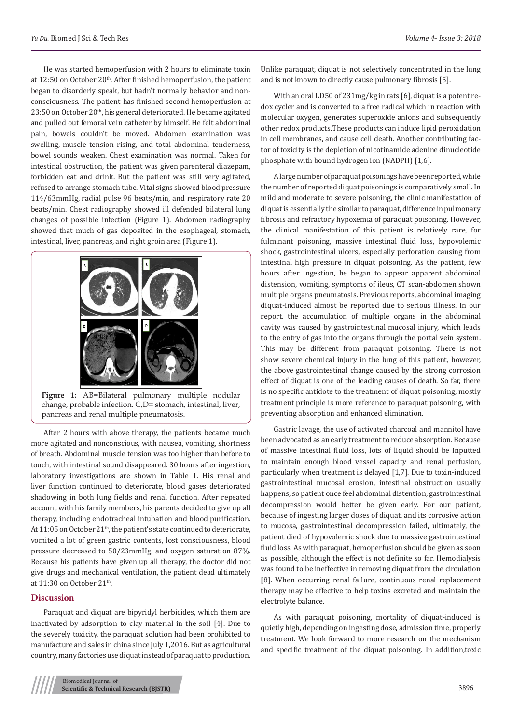He was started hemoperfusion with 2 hours to eliminate toxin at 12:50 on October 20<sup>th</sup>. After finished hemoperfusion, the patient began to disorderly speak, but hadn't normally behavior and nonconsciousness. The patient has finished second hemoperfusion at 23:50 on October 20<sup>th</sup>, his general deteriorated. He became agitated and pulled out femoral vein catheter by himself. He felt abdominal pain, bowels couldn't be moved. Abdomen examination was swelling, muscle tension rising, and total abdominal tenderness, bowel sounds weaken. Chest examination was normal. Taken for intestinal obstruction, the patient was given parenteral diazepam, forbidden eat and drink. But the patient was still very agitated, refused to arrange stomach tube. Vital signs showed blood pressure 114/63mmHg, radial pulse 96 beats/min, and respiratory rate 20 beats/min. Chest radiography showed ill defended bilateral lung changes of possible infection (Figure 1). Abdomen radiography showed that much of gas deposited in the esophageal, stomach, intestinal, liver, pancreas, and right groin area (Figure 1).



**Figure 1:** AB=Bilateral pulmonary multiple nodular change, probable infection. C,D= stomach, intestinal, liver, pancreas and renal multiple pneumatosis.

After 2 hours with above therapy, the patients became much more agitated and nonconscious, with nausea, vomiting, shortness of breath. Abdominal muscle tension was too higher than before to touch, with intestinal sound disappeared. 30 hours after ingestion, laboratory investigations are shown in Table 1. His renal and liver function continued to deteriorate, blood gases deteriorated shadowing in both lung fields and renal function. After repeated account with his family members, his parents decided to give up all therapy, including endotracheal intubation and blood purification. At 11:05 on October 21<sup>th</sup>, the patient's state continued to deteriorate, vomited a lot of green gastric contents, lost consciousness, blood pressure decreased to 50/23mmHg, and oxygen saturation 87%. Because his patients have given up all therapy, the doctor did not give drugs and mechanical ventilation, the patient dead ultimately at 11:30 on October 21<sup>th</sup>.

#### **Discussion**

Paraquat and diquat are bipyridyl herbicides, which them are inactivated by adsorption to clay material in the soil [4]. Due to the severely toxicity, the paraquat solution had been prohibited to manufacture and sales in china since July 1,2016. But as agricultural country, many factories use diquat instead of paraquat to production. Unlike paraquat, diquat is not selectively concentrated in the lung and is not known to directly cause pulmonary fibrosis [5].

With an oral LD50 of 231mg/kg in rats [6], diquat is a potent redox cycler and is converted to a free radical which in reaction with molecular oxygen, generates superoxide anions and subsequently other redox products.These products can induce lipid peroxidation in cell membranes, and cause cell death. Another contributing factor of toxicity is the depletion of nicotinamide adenine dinucleotide phosphate with bound hydrogen ion (NADPH) [1,6].

A large number of paraquat poisonings have been reported, while the number of reported diquat poisonings is comparatively small. In mild and moderate to severe poisoning, the clinic manifestation of diquat is essentially the similar to paraquat, difference in pulmonary fibrosis and refractory hypoxemia of paraquat poisoning. However, the clinical manifestation of this patient is relatively rare, for fulminant poisoning, massive intestinal fluid loss, hypovolemic shock, gastrointestinal ulcers, especially perforation causing from intestinal high pressure in diquat poisoning. As the patient, few hours after ingestion, he began to appear apparent abdominal distension, vomiting, symptoms of ileus, CT scan-abdomen shown multiple organs pneumatosis. Previous reports, abdominal imaging diquat-induced almost be reported due to serious illness. In our report, the accumulation of multiple organs in the abdominal cavity was caused by gastrointestinal mucosal injury, which leads to the entry of gas into the organs through the portal vein system. This may be different from paraquat poisoning. There is not show severe chemical injury in the lung of this patient, however, the above gastrointestinal change caused by the strong corrosion effect of diquat is one of the leading causes of death. So far, there is no specific antidote to the treatment of diquat poisoning, mostly treatment principle is more reference to paraquat poisoning, with preventing absorption and enhanced elimination.

Gastric lavage, the use of activated charcoal and mannitol have been advocated as an early treatment to reduce absorption. Because of massive intestinal fluid loss, lots of liquid should be inputted to maintain enough blood vessel capacity and renal perfusion, particularly when treatment is delayed [1,7]. Due to toxin-induced gastrointestinal mucosal erosion, intestinal obstruction usually happens, so patient once feel abdominal distention, gastrointestinal decompression would better be given early. For our patient, because of ingesting larger doses of diquat, and its corrosive action to mucosa, gastrointestinal decompression failed, ultimately, the patient died of hypovolemic shock due to massive gastrointestinal fluid loss. As with paraquat, hemoperfusion should be given as soon as possible, although the effect is not definite so far. Hemodialysis was found to be ineffective in removing diquat from the circulation [8]. When occurring renal failure, continuous renal replacement therapy may be effective to help toxins excreted and maintain the electrolyte balance.

As with paraquat poisoning, mortality of diquat-induced is quietly high, depending on ingesting dose, admission time, properly treatment. We look forward to more research on the mechanism and specific treatment of the diquat poisoning. In addition,toxic